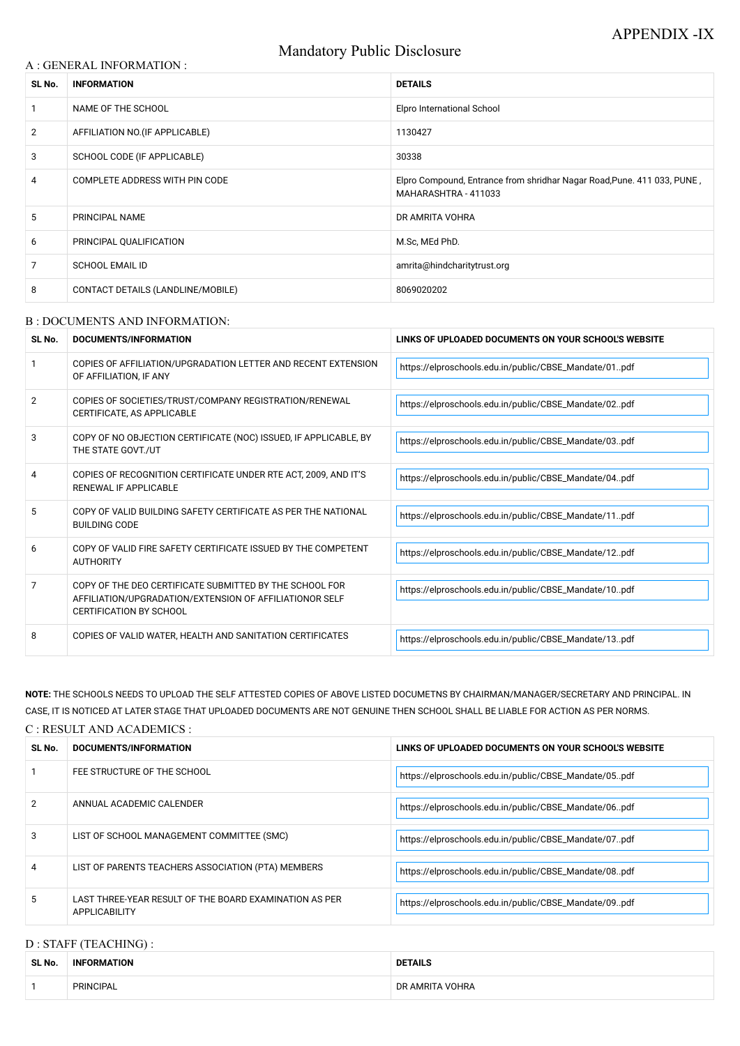# Mandatory Public Disclosure

### A : GENERAL INFORMATION :

| SL No.         | <b>INFORMATION</b>                | <b>DETAILS</b>                                                                                  |  |
|----------------|-----------------------------------|-------------------------------------------------------------------------------------------------|--|
|                | NAME OF THE SCHOOL                | <b>Elpro International School</b>                                                               |  |
| $\overline{2}$ | AFFILIATION NO. (IF APPLICABLE)   | 1130427                                                                                         |  |
| 3              | SCHOOL CODE (IF APPLICABLE)       | 30338                                                                                           |  |
| 4              | COMPLETE ADDRESS WITH PIN CODE    | Elpro Compound, Entrance from shridhar Nagar Road, Pune. 411 033, PUNE,<br>MAHARASHTRA - 411033 |  |
| 5              | PRINCIPAL NAME                    | DR AMRITA VOHRA                                                                                 |  |
| 6              | PRINCIPAL QUALIFICATION           | M.Sc, MEd PhD.                                                                                  |  |
| 7              | <b>SCHOOL EMAIL ID</b>            | amrita@hindcharitytrust.org                                                                     |  |
| 8              | CONTACT DETAILS (LANDLINE/MOBILE) | 8069020202                                                                                      |  |

#### B : DOCUMENTS AND INFORMATION:

| SL No.         | DOCUMENTS/INFORMATION                                                                                                                                | LINKS OF UPLOADED DOCUMENTS ON YOUR SCHOOL'S WEBSITE  |  |
|----------------|------------------------------------------------------------------------------------------------------------------------------------------------------|-------------------------------------------------------|--|
|                | COPIES OF AFFILIATION/UPGRADATION LETTER AND RECENT EXTENSION<br>OF AFFILIATION, IF ANY                                                              | https://elproschools.edu.in/public/CBSE_Mandate/01pdf |  |
| $\overline{2}$ | COPIES OF SOCIETIES/TRUST/COMPANY REGISTRATION/RENEWAL<br>CERTIFICATE, AS APPLICABLE                                                                 | https://elproschools.edu.in/public/CBSE_Mandate/02pdf |  |
| 3              | COPY OF NO OBJECTION CERTIFICATE (NOC) ISSUED, IF APPLICABLE, BY<br>THE STATE GOVT./UT                                                               | https://elproschools.edu.in/public/CBSE_Mandate/03pdf |  |
| 4              | COPIES OF RECOGNITION CERTIFICATE UNDER RTE ACT, 2009, AND IT'S<br><b>RENEWAL IF APPLICABLE</b>                                                      | https://elproschools.edu.in/public/CBSE_Mandate/04pdf |  |
| 5              | COPY OF VALID BUILDING SAFETY CERTIFICATE AS PER THE NATIONAL<br><b>BUILDING CODE</b>                                                                | https://elproschools.edu.in/public/CBSE_Mandate/11pdf |  |
| 6              | COPY OF VALID FIRE SAFETY CERTIFICATE ISSUED BY THE COMPETENT<br><b>AUTHORITY</b>                                                                    | https://elproschools.edu.in/public/CBSE_Mandate/12pdf |  |
| 7              | COPY OF THE DEO CERTIFICATE SUBMITTED BY THE SCHOOL FOR<br>AFFILIATION/UPGRADATION/EXTENSION OF AFFILIATIONOR SELF<br><b>CERTIFICATION BY SCHOOL</b> | https://elproschools.edu.in/public/CBSE_Mandate/10pdf |  |
| 8              | COPIES OF VALID WATER, HEALTH AND SANITATION CERTIFICATES                                                                                            | https://elproschools.edu.in/public/CBSE_Mandate/13pdf |  |

**NOTE:** THE SCHOOLS NEEDS TO UPLOAD THE SELF ATTESTED COPIES OF ABOVE LISTED DOCUMETNS BY CHAIRMAN/MANAGER/SECRETARY AND PRINCIPAL. IN CASE, IT IS NOTICED AT LATER STAGE THAT UPLOADED DOCUMENTS ARE NOT GENUINE THEN SCHOOL SHALL BE LIABLE FOR ACTION AS PER NORMS. C : RESULT AND ACADEMICS :

| SL No. | DOCUMENTS/INFORMATION       | LINKS OF UPLOADED DOCUMENTS ON YOUR SCHOOL'S WEBSITE  |  |
|--------|-----------------------------|-------------------------------------------------------|--|
|        | FEE STRUCTURE OF THE SCHOOL | https://elproschools.edu.in/public/CBSE_Mandate/05pdf |  |

| 2              | ANNUAL ACADEMIC CALENDER                                                       | https://elproschools.edu.in/public/CBSE_Mandate/06pdf |
|----------------|--------------------------------------------------------------------------------|-------------------------------------------------------|
| 3              | LIST OF SCHOOL MANAGEMENT COMMITTEE (SMC)                                      | https://elproschools.edu.in/public/CBSE_Mandate/07pdf |
| $\overline{4}$ | LIST OF PARENTS TEACHERS ASSOCIATION (PTA) MEMBERS                             | https://elproschools.edu.in/public/CBSE_Mandate/08pdf |
| 5              | LAST THREE-YEAR RESULT OF THE BOARD EXAMINATION AS PER<br><b>APPLICABILITY</b> | https://elproschools.edu.in/public/CBSE_Mandate/09pdf |

# D : STAFF (TEACHING) :

| SL No. | <b>INFORMATION</b> | <b>DETAILS</b>  |
|--------|--------------------|-----------------|
|        | PRINCIPAL          | DR AMRITA VOHRA |